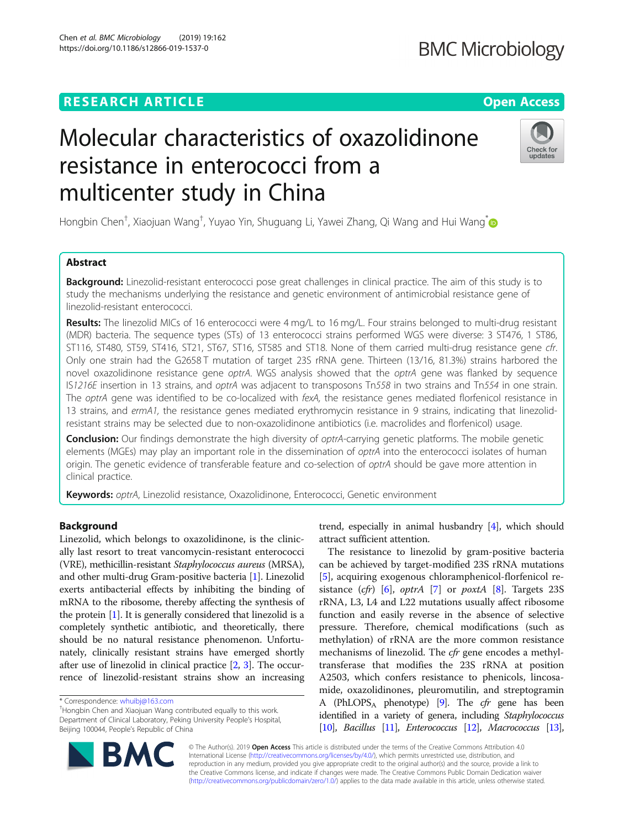Chen et al. BMC Microbiology (2019) 19:162 https://doi.org/10.1186/s12866-019-1537-0

## **BMC Microbiology**

# Molecular characteristics of oxazolidinone resistance in enterococci from a multicenter study in China



Hongbin Chen<sup>†</sup>, Xiaojuan Wang<sup>†</sup>, Yuyao Yin, Shuguang Li, Yawei Zhang, Qi Wang and Hui Wang<sup>[\\*](http://orcid.org/0000-0001-9220-0357)</sup>

### Abstract

Background: Linezolid-resistant enterococci pose great challenges in clinical practice. The aim of this study is to study the mechanisms underlying the resistance and genetic environment of antimicrobial resistance gene of linezolid-resistant enterococci.

Results: The linezolid MICs of 16 enterococci were 4 mg/L to 16 mg/L. Four strains belonged to multi-drug resistant (MDR) bacteria. The sequence types (STs) of 13 enterococci strains performed WGS were diverse: 3 ST476, 1 ST86, ST116, ST480, ST59, ST416, ST21, ST67, ST16, ST585 and ST18. None of them carried multi-drug resistance gene cfr. Only one strain had the G2658 T mutation of target 23S rRNA gene. Thirteen (13/16, 81.3%) strains harbored the novel oxazolidinone resistance gene optrA. WGS analysis showed that the optrA gene was flanked by sequence IS1216E insertion in 13 strains, and optrA was adjacent to transposons Tn558 in two strains and Tn554 in one strain. The optrA gene was identified to be co-localized with fexA, the resistance genes mediated florfenicol resistance in 13 strains, and ermA1, the resistance genes mediated erythromycin resistance in 9 strains, indicating that linezolidresistant strains may be selected due to non-oxazolidinone antibiotics (i.e. macrolides and florfenicol) usage.

Conclusion: Our findings demonstrate the high diversity of optrA-carrying genetic platforms. The mobile genetic elements (MGEs) may play an important role in the dissemination of optrA into the enterococci isolates of human origin. The genetic evidence of transferable feature and co-selection of optrA should be gave more attention in clinical practice.

Keywords: optrA, Linezolid resistance, Oxazolidinone, Enterococci, Genetic environment

#### Background

Linezolid, which belongs to oxazolidinone, is the clinically last resort to treat vancomycin-resistant enterococci (VRE), methicillin-resistant Staphylococcus aureus (MRSA), and other multi-drug Gram-positive bacteria [\[1\]](#page-7-0). Linezolid exerts antibacterial effects by inhibiting the binding of mRNA to the ribosome, thereby affecting the synthesis of the protein [[1\]](#page-7-0). It is generally considered that linezolid is a completely synthetic antibiotic, and theoretically, there should be no natural resistance phenomenon. Unfortunately, clinically resistant strains have emerged shortly after use of linezolid in clinical practice [\[2](#page-7-0), [3](#page-7-0)]. The occurrence of linezolid-resistant strains show an increasing



The resistance to linezolid by gram-positive bacteria can be achieved by target-modified 23S rRNA mutations [[5\]](#page-7-0), acquiring exogenous chloramphenicol-florfenicol resistance  $(cfr)$  [[6\]](#page-7-0), optrA [[7\]](#page-7-0) or poxtA [\[8](#page-7-0)]. Targets 23S rRNA, L3, L4 and L22 mutations usually affect ribosome function and easily reverse in the absence of selective pressure. Therefore, chemical modifications (such as methylation) of rRNA are the more common resistance mechanisms of linezolid. The cfr gene encodes a methyltransferase that modifies the 23S rRNA at position A2503, which confers resistance to phenicols, lincosamide, oxazolidinones, pleuromutilin, and streptogramin A (PhLOPSA phenotype) [[9](#page-7-0)]. The cfr gene has been identified in a variety of genera, including Staphylococcus [[10\]](#page-7-0), Bacillus [\[11\]](#page-7-0), Enterococcus [[12\]](#page-8-0), Macrococcus [\[13\]](#page-8-0),



© The Author(s). 2019 Open Access This article is distributed under the terms of the Creative Commons Attribution 4.0 International License [\(http://creativecommons.org/licenses/by/4.0/](http://creativecommons.org/licenses/by/4.0/)), which permits unrestricted use, distribution, and reproduction in any medium, provided you give appropriate credit to the original author(s) and the source, provide a link to the Creative Commons license, and indicate if changes were made. The Creative Commons Public Domain Dedication waiver [\(http://creativecommons.org/publicdomain/zero/1.0/](http://creativecommons.org/publicdomain/zero/1.0/)) applies to the data made available in this article, unless otherwise stated.

<sup>\*</sup> Correspondence: [whuibj@163.com](mailto:whuibj@163.com) †

<sup>&</sup>lt;sup>+</sup>Hongbin Chen and Xiaojuan Wang contributed equally to this work. Department of Clinical Laboratory, Peking University People's Hospital, Beijing 100044, People's Republic of China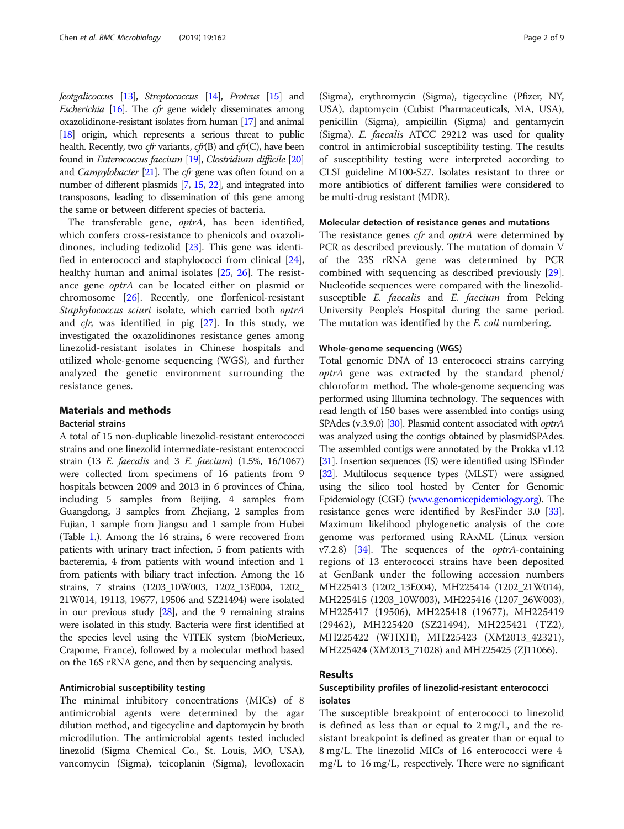Jeotgalicoccus [[13\]](#page-8-0), Streptococcus [[14\]](#page-8-0), Proteus [\[15](#page-8-0)] and *Escherichia* [\[16\]](#page-8-0). The *cfr* gene widely disseminates among oxazolidinone-resistant isolates from human [[17\]](#page-8-0) and animal [[18\]](#page-8-0) origin, which represents a serious threat to public health. Recently, two cfr variants, cfr(B) and cfr(C), have been found in Enterococcus faecium [\[19](#page-8-0)], Clostridium difficile [\[20](#page-8-0)] and Campylobacter [\[21\]](#page-8-0). The cfr gene was often found on a number of different plasmids [\[7](#page-7-0), [15](#page-8-0), [22\]](#page-8-0), and integrated into transposons, leading to dissemination of this gene among the same or between different species of bacteria.

The transferable gene, optrA, has been identified, which confers cross-resistance to phenicols and oxazolidinones, including tedizolid [[23\]](#page-8-0). This gene was identified in enterococci and staphylococci from clinical [\[24](#page-8-0)], healthy human and animal isolates [\[25](#page-8-0), [26](#page-8-0)]. The resistance gene optrA can be located either on plasmid or chromosome [[26\]](#page-8-0). Recently, one florfenicol-resistant Staphylococcus sciuri isolate, which carried both optrA and *cfr*, was identified in pig  $[27]$ . In this study, we investigated the oxazolidinones resistance genes among linezolid-resistant isolates in Chinese hospitals and utilized whole-genome sequencing (WGS), and further analyzed the genetic environment surrounding the resistance genes.

### Materials and methods

### Bacterial strains

A total of 15 non-duplicable linezolid-resistant enterococci strains and one linezolid intermediate-resistant enterococci strain (13 E. faecalis and 3 E. faecium) (1.5%, 16/1067) were collected from specimens of 16 patients from 9 hospitals between 2009 and 2013 in 6 provinces of China, including 5 samples from Beijing, 4 samples from Guangdong, 3 samples from Zhejiang, 2 samples from Fujian, 1 sample from Jiangsu and 1 sample from Hubei (Table [1.](#page-2-0)). Among the 16 strains, 6 were recovered from patients with urinary tract infection, 5 from patients with bacteremia, 4 from patients with wound infection and 1 from patients with biliary tract infection. Among the 16 strains, 7 strains (1203\_10W003, 1202\_13E004, 1202\_ 21W014, 19113, 19677, 19506 and SZ21494) were isolated in our previous study [[28](#page-8-0)], and the 9 remaining strains were isolated in this study. Bacteria were first identified at the species level using the VITEK system (bioMerieux, Crapome, France), followed by a molecular method based on the 16S rRNA gene, and then by sequencing analysis.

#### Antimicrobial susceptibility testing

The minimal inhibitory concentrations (MICs) of 8 antimicrobial agents were determined by the agar dilution method, and tigecycline and daptomycin by broth microdilution. The antimicrobial agents tested included linezolid (Sigma Chemical Co., St. Louis, MO, USA), vancomycin (Sigma), teicoplanin (Sigma), levofloxacin

(Sigma), erythromycin (Sigma), tigecycline (Pfizer, NY, USA), daptomycin (Cubist Pharmaceuticals, MA, USA), penicillin (Sigma), ampicillin (Sigma) and gentamycin (Sigma). E. faecalis ATCC 29212 was used for quality control in antimicrobial susceptibility testing. The results of susceptibility testing were interpreted according to CLSI guideline M100-S27. Isolates resistant to three or more antibiotics of different families were considered to be multi-drug resistant (MDR).

#### Molecular detection of resistance genes and mutations

The resistance genes *cfr* and *optrA* were determined by PCR as described previously. The mutation of domain V of the 23S rRNA gene was determined by PCR combined with sequencing as described previously [\[29](#page-8-0)]. Nucleotide sequences were compared with the linezolidsusceptible E. faecalis and E. faecium from Peking University People's Hospital during the same period. The mutation was identified by the E. coli numbering.

#### Whole-genome sequencing (WGS)

Total genomic DNA of 13 enterococci strains carrying optrA gene was extracted by the standard phenol/ chloroform method. The whole-genome sequencing was performed using Illumina technology. The sequences with read length of 150 bases were assembled into contigs using SPAdes (v.3.9.0) [\[30](#page-8-0)]. Plasmid content associated with *optrA* was analyzed using the contigs obtained by plasmidSPAdes. The assembled contigs were annotated by the Prokka v1.12 [[31](#page-8-0)]. Insertion sequences (IS) were identified using ISFinder [[32](#page-8-0)]. Multilocus sequence types (MLST) were assigned using the silico tool hosted by Center for Genomic Epidemiology (CGE) ([www.genomicepidemiology.org\)](http://www.genomicepidemiology.org). The resistance genes were identified by ResFinder 3.0 [[33](#page-8-0)]. Maximum likelihood phylogenetic analysis of the core genome was performed using RAxML (Linux version  $v7.2.8$ ) [\[34\]](#page-8-0). The sequences of the *optrA*-containing regions of 13 enterococci strains have been deposited at GenBank under the following accession numbers MH225413 (1202\_13E004), MH225414 (1202\_21W014), MH225415 (1203\_10W003), MH225416 (1207\_26W003), MH225417 (19506), MH225418 (19677), MH225419 (29462), MH225420 (SZ21494), MH225421 (TZ2), MH225422 (WHXH), MH225423 (XM2013\_42321), MH225424 (XM2013\_71028) and MH225425 (ZJ11066).

#### Results

#### Susceptibility profiles of linezolid-resistant enterococci isolates

The susceptible breakpoint of enterococci to linezolid is defined as less than or equal to 2 mg/L, and the resistant breakpoint is defined as greater than or equal to 8 mg/L. The linezolid MICs of 16 enterococci were 4 mg/L to 16 mg/L, respectively. There were no significant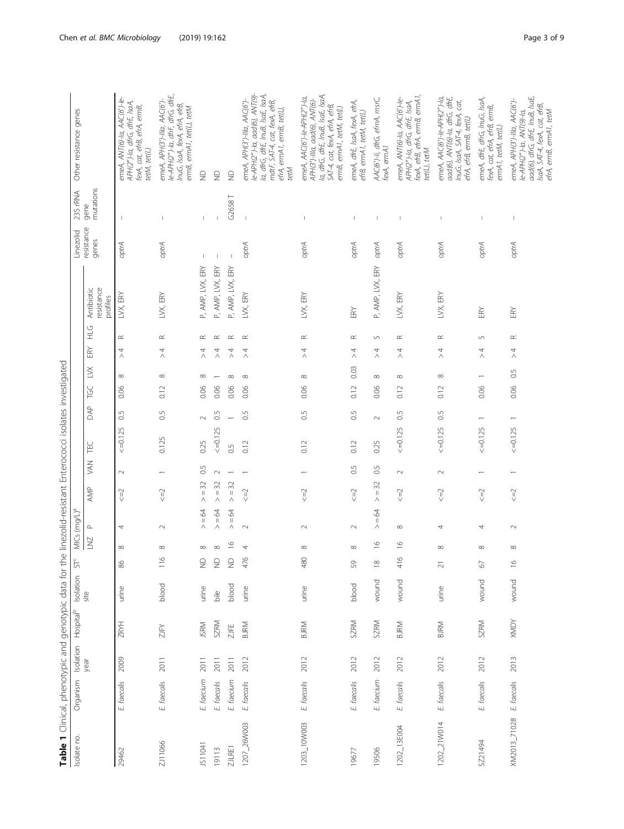| í<br>i<br>j<br>$\mathcal{L}$<br>j<br>アル<br>$\ddot{\phantom{a}}$            |
|----------------------------------------------------------------------------|
| こここ<br>$2+6$<br>$\frac{1}{2}$<br>Ĭ.<br>$\frac{1}{2}$                       |
| うりりり<br>ξ<br>$\overline{\phantom{a}}$<br>j<br>l<br>$\frac{1}{2}$<br>į<br>t |
| ļ<br>i<br>こうこう<br>č<br>ì<br>$\overline{a}$                                 |
| リニンコー<br>ŕ<br>ł<br>$\equiv$                                                |
| ċ<br>3<br>j<br>j<br>$\frac{1}{2}$                                          |
| l<br>)<br>)<br>)<br>i<br>ī                                                 |
| $\frac{1}{2}$<br>i<br>j<br>l<br>I<br>İ<br>J                                |
| Î<br>ć<br>i.<br>ò<br>$\vdots$                                              |
| ĕ<br>j<br>$\overline{\phantom{a}}$<br>l<br>l<br>$\subset$<br>١             |
| i<br>٦,<br>j<br>ć<br>J                                                     |
| Table                                                                      |

<span id="page-2-0"></span>

| Table 1 Clinical, phenotypic and genotypic data for the linezolid-resistant Enterococci isolates investigated |             |      |                                 |               |                    |                    |                          |                         |                          |                |            |                            |           |                |                                                         |                     |                          |                                                                                                                                                                            |
|---------------------------------------------------------------------------------------------------------------|-------------|------|---------------------------------|---------------|--------------------|--------------------|--------------------------|-------------------------|--------------------------|----------------|------------|----------------------------|-----------|----------------|---------------------------------------------------------|---------------------|--------------------------|----------------------------------------------------------------------------------------------------------------------------------------------------------------------------|
| Isolate no.                                                                                                   | Organism    |      | Isolation Hospital <sup>b</sup> | Isolation     | $\frac{1}{2}$      |                    | MICs (mg/L) <sup>a</sup> |                         |                          |                |            |                            |           |                |                                                         | Linezolid           | 23S rRNA                 | Other resistance genes                                                                                                                                                     |
|                                                                                                               |             | year |                                 | site          |                    | <b>ZNT</b>         | $\mathrel{\mathsf{a}}$   | AMP                     | X                        | ΈC             | <b>BAP</b> | $\gtrapprox$<br><b>POL</b> |           | ERY            | resistance<br>Antibiotic<br>profiles<br>$\frac{C}{\pm}$ | resistance<br>genes | mutations<br>gene        |                                                                                                                                                                            |
| 29462                                                                                                         | E faecalis  | 2009 | ZRYH                            | urine         | 86                 | ${}^{\infty}$      | 4                        | $\leq = 2$              | $\sim$                   | $\leq$ =0.125  | 0.5        | $\infty$<br>0.06           | $\land$   | $\simeq$<br>4  | LVX, ERY                                                | optrA               |                          | emeA, ANT(6)-la, AAC(6')-le-<br>APH(2'')-la, difiG, difiE, IsaA,<br>fexA, cat, effB, efrA, ermB,<br>tetM, tet(L)                                                           |
| 211066                                                                                                        | E faecalis  | 2011 | ZJFY                            | blood         | $\circ$<br>Ē       | $\infty$           | $\sim$                   | $\leq = 2$              |                          | 0.125          | 0.5        | $\infty$<br>0.12           | $\land$   | $\simeq$<br>4  | LVX, ERY                                                | optrA               |                          | le-APH(2")-la, dffF, dfrG, dfrE,<br>emeA, APH(3')-Illa, AAC(6')-<br>InuG, IsaA, fexA, efrA, efrB,<br>ermB, ermA1, tet(L), tetM                                             |
| 1511041                                                                                                       | E. faecium  | 2011 | <b>JSRM</b>                     | urine         | ž                  | $^{\circ}$         | $=64$<br>Λ               | 32<br>$\vert\vert$<br>Λ | $\frac{5}{2}$            | 0.25           | $\sim$     | $\infty$<br>0.06           | $\land$   | $\approx$<br>4 | P, AMP, LVX, ERY                                        |                     | f,                       | $\frac{\Omega}{\Sigma}$                                                                                                                                                    |
| 19113                                                                                                         | E. faecalis | 2011 | <b>SZRM</b>                     | $\frac{1}{2}$ | $\epsilon$         | ${}^{\infty}$      | $> = 64$                 | $=$ 32<br>Λ             | $\sim$                   | $\leq -0.125$  | 0.5        | 0.06                       | $\land$   | $\simeq$<br>4  | P, AMP, LVX, ERY                                        |                     | $\overline{\phantom{a}}$ | $\supseteq$                                                                                                                                                                |
| ZJLRE1                                                                                                        | E. faecium  | 2011 | <b>ZJFE</b>                     | blood         | $\epsilon$         | $\approx$          | $=64$<br>Λ               | $=$ 32<br>$\wedge$      |                          | $\overline{0}$ |            | ${}^{\infty}$<br>0.06      | $\land$   | $\simeq$<br>4  | P, AMP, LVX, ERY                                        |                     | G2658T                   | $\supseteq$                                                                                                                                                                |
| 1207_26W003                                                                                                   | E. faecalis | 2012 | <b>BJRM</b>                     | urine         | $\ddot{\theta}$    |                    | $\sim$                   | $\leq =$                |                          | 0.12           | 0.5        | $\infty$<br>0.06           | $\land$   | $\simeq$<br>4  | LVX, ERY                                                | optrA               | $\,$ $\,$                | le-APH(2")-la, aad(6), ANT(9)-<br>la, dfrG, dfrE, InuB, IsaE, IsaA,<br>етеА, АРН(3')-IIIa, ААС(6')-<br>mdtF, SAT-4, cat, fexA, efrB,<br>efrA, ermA1, ermB, tet(L),<br>tetM |
| 1203_10W003                                                                                                   | E. faecalis | 2012 | <b>BJRM</b>                     | urine         | 480                | $^{\circ}$         | $\sim$                   | $\leq =$                |                          | 0.12           | 0.5        | ${}^{\infty}$<br>0.06      | $\land$   | $\simeq$<br>4  | LVX, ERY                                                | optrA               | $\overline{\phantom{a}}$ | la, dfrG, dfrE, InuB, IsaE, IsaA,<br>emeA, AAC(6')-le-APH(2'')-la,<br>APH(3')-Illa, aad(6), ANT(6)-<br>SAT-4, cat, fexA, efrA, efrB,<br>ermB, ermA1, tetM, tet(L)          |
| 19677                                                                                                         | E. faecalis | 2012 | <b>SZRM</b>                     | blood         | 59                 | ${}^{\infty}$      | $\sim$                   | $\leq = 2$              | $\overline{0}$           | 0.12           | 65         | 0.12                       | Λ<br>0.03 | $\simeq$<br>4  | ERY                                                     | optrA               | $\overline{\phantom{a}}$ | emeA, dfrE, IsaA, fexA, efrA,<br>efrB, ermA1, tetM, tet(L)                                                                                                                 |
| 19506                                                                                                         | E. faecium  | 2012 | <b>SZRM</b>                     | wound         | $\frac{\infty}{2}$ | $\frac{\infty}{2}$ | $=64$<br>Λ               | $>$ = 32                | 0.5                      | 0.25           | $\sim$     | ${}^{\infty}$<br>0.06      | $\land$   | $\circ$<br>4   | P, AMP, LVX, ERY                                        | optrA               | $\overline{\phantom{a}}$ | AAC(6')-Ii, dfrG, efmA, msrC,<br>fexA, ermA1                                                                                                                               |
| 1202_13E004                                                                                                   | E. faecalis | 2012 | <b>BJRM</b>                     | wound         | 416                | $\frac{8}{1}$      | $\infty$                 | $\leq = 2$              | $\sim$                   | $\leq 0.125$   | 0.5        | $\infty$<br>0.12           | $\land$   | $\simeq$<br>4  | LVX, ERY                                                | optrA               | $\overline{\phantom{a}}$ | fexA, efrB, efrA, ermB, ermA1,<br>emeA, ANT(6)-la, AAC(6')-le-<br>APH(2")-la, dtrG, dtrE, IsaA,<br>tet(L), tetM                                                            |
| 1202_21W014                                                                                                   | E faecalis  | 2012 | <b>BJRM</b>                     | urine         | $\gtrsim$          | ${}^{\infty}$      | 4                        | $\leq = 2$              | $\sim$                   | $\leq$ =0.125  | 0.5        | ${}^{\infty}$<br>0.12      | $\land$   | $\propto$<br>4 | LVX, ERY                                                | optrA               | $\overline{\phantom{a}}$ | emeA, AAC(6')-le-APH(2")-la,<br>aad(6), ANT(6)-la, dfrG, dfrE,<br>InuG, IsaA, SAT-4, fexA, cat,<br>efrA, efrB, ermB, tet(L)                                                |
| SZ21494                                                                                                       | E faecalis  | 2012 | <b>SZRM</b>                     | wound         | $\mathcal{Q}$      | ${}^{\infty}$      | 4                        | $\leq =$                | $\overline{\phantom{0}}$ | $\leq$ =0.125  |            | 0.06                       | $\land$   | $\cup$<br>4    | ERY                                                     | optrA               |                          | emeA, dfrE, dfrG, InuG, IsaA,<br>fexA, cat, efrA, efrB, ermB,<br>ermA1, tetM, tet(L)                                                                                       |
| XM2013_71028                                                                                                  | E faecalis  | 2013 | <b>AGIVIX</b>                   | wound         | $\approx$          | ${}^{\infty}$      | $\sim$                   | $\leq =$                |                          | $\leq$ =0.125  |            | 0.5<br>0.06                | $\land$   | $\simeq$<br>4  | ERY                                                     | optrA               | $\overline{\phantom{a}}$ | aad(6), dtfG, dtfE, InuB, IsaE,<br>emeA, APH(3')-Illa, AAC(6')-<br>IsaA, SAT-4, fexA, cat, effB,<br>efrA, ermB, ermA1, tetM<br>le-APH(2")-la, ANT(9)-la,                   |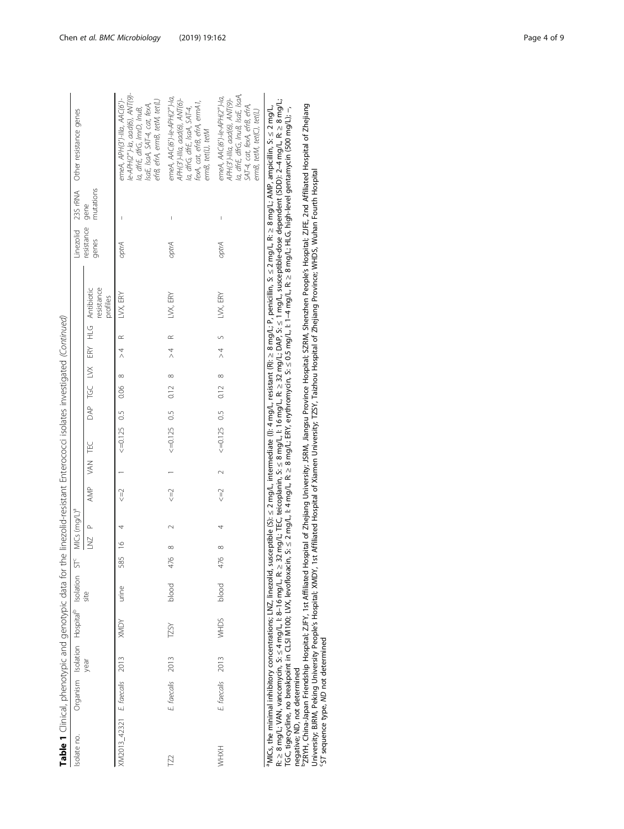| j<br>ׇ֚֘֡                                |
|------------------------------------------|
| i<br>í                                   |
| İ<br>ì                                   |
|                                          |
|                                          |
| ì<br>I                                   |
|                                          |
| ׇ֬֘֕֜<br>ŕ<br>ï                          |
| ֘֒                                       |
| i<br>l<br>١                              |
|                                          |
| ١<br>ļ                                   |
|                                          |
|                                          |
|                                          |
| ļ<br>Ì<br>ׇ֚֓֡                           |
|                                          |
| Ì                                        |
| $\tilde{c}$<br>$\overline{ }$            |
|                                          |
| j<br>i                                   |
| í                                        |
|                                          |
| ۱<br>İ                                   |
|                                          |
| j<br>I                                   |
|                                          |
|                                          |
| Ž<br>í                                   |
| $\overline{ }$                           |
| i<br>5)<br>$\overline{\phantom{a}}$<br>1 |
| Ï<br>$\overline{\phantom{a}}$            |
| i                                        |
|                                          |
| Ì                                        |
| ļ<br>ł                                   |
|                                          |
| 1                                        |
| I<br>l                                   |
| i                                        |
| )                                        |
|                                          |
| r<br>T<br>ĺ                              |
| ī<br>5                                   |
| i                                        |
|                                          |
|                                          |
|                                          |
|                                          |
| d<br>l.                                  |
| j<br>$\mathfrak{h}$                      |
| 5<br>ï                                   |
|                                          |
|                                          |
|                                          |
| $\ddot{}$                                |
|                                          |
|                                          |
|                                          |
| ŗ<br>۱                                   |
|                                          |
|                                          |
| i                                        |
| :                                        |
|                                          |
| Ī<br>j                                   |
| ı                                        |
|                                          |
| واطرة                                    |
| ĺ                                        |
|                                          |
| l                                        |

| Linezolid 23S rRNA Other resistance genes          |                                                                      | le-APH(2")-la, aad(6), ANT(9)-<br>етеА, АРН(3')-Illa, ААС(б')-<br>efrB, efrA, ermB, tetM, tet(L)<br>IsaE, IsaA, SAT-4, cat, fexA,<br>la, dfrE, dfrG, ImrD, InuB, | emeA, AAC(6')-le-APH(2")-la,<br>APH(3')-Illa, aad(6), ANT(6)-<br>fexA, cat, effB, efrA, ermA1,<br>la, dfrG, dfrE, IsaA, SAT-4,<br>ermB, tet(L), tetM | la, dfrE, dfrG, InuB, IsaE, IsaA,<br>emeA, $AAC(6')$ -le-APH $(2'')$ -la,<br>APH(3')-Illa, aad(6), ANT(9)-<br>SAT-4, cat, fexA, efrB, efrA,<br>ermB, tetM, tet(C), tet(L) |
|----------------------------------------------------|----------------------------------------------------------------------|------------------------------------------------------------------------------------------------------------------------------------------------------------------|------------------------------------------------------------------------------------------------------------------------------------------------------|---------------------------------------------------------------------------------------------------------------------------------------------------------------------------|
|                                                    | mutations                                                            |                                                                                                                                                                  | $\mathsf{l}$                                                                                                                                         | $\overline{\phantom{a}}$                                                                                                                                                  |
|                                                    | resistance gene<br>genes                                             | optrA                                                                                                                                                            | optrA                                                                                                                                                | optrA                                                                                                                                                                     |
|                                                    | resistance<br>AMP VAN TEC DAP TGC LVX ERY HLG Antibiotic<br>profiles | $\leq$ 2 1 $\leq$ =0.125 0.5 0.06 8 >4 R LVX, ERY                                                                                                                | LVX, ERY                                                                                                                                             | LVX, ERY                                                                                                                                                                  |
|                                                    |                                                                      |                                                                                                                                                                  |                                                                                                                                                      |                                                                                                                                                                           |
|                                                    |                                                                      |                                                                                                                                                                  | $> 4$ R                                                                                                                                              |                                                                                                                                                                           |
|                                                    |                                                                      |                                                                                                                                                                  |                                                                                                                                                      |                                                                                                                                                                           |
|                                                    |                                                                      |                                                                                                                                                                  |                                                                                                                                                      |                                                                                                                                                                           |
|                                                    |                                                                      |                                                                                                                                                                  |                                                                                                                                                      |                                                                                                                                                                           |
|                                                    |                                                                      |                                                                                                                                                                  | $<=0.125$ 0.5 0.12 8                                                                                                                                 | $\leq 4$ $\leq 0.125$ 0.5 0.12 8 >4 5                                                                                                                                     |
|                                                    |                                                                      |                                                                                                                                                                  |                                                                                                                                                      | $\sim$                                                                                                                                                                    |
|                                                    |                                                                      |                                                                                                                                                                  | $\leq = 2$ 1                                                                                                                                         | $\leq$ = $\geq$                                                                                                                                                           |
| $ST<$ MICs (mg/L) <sup>a</sup>                     | LNZ P                                                                |                                                                                                                                                                  |                                                                                                                                                      |                                                                                                                                                                           |
|                                                    |                                                                      | 585 16 4                                                                                                                                                         | $\infty$                                                                                                                                             | $\infty$                                                                                                                                                                  |
|                                                    |                                                                      |                                                                                                                                                                  | 476                                                                                                                                                  | 476                                                                                                                                                                       |
|                                                    | site                                                                 | urine                                                                                                                                                            | blood                                                                                                                                                | blood                                                                                                                                                                     |
|                                                    |                                                                      | <b>XMDY</b>                                                                                                                                                      | <b>TZSY</b>                                                                                                                                          | WHDS                                                                                                                                                                      |
|                                                    | year                                                                 |                                                                                                                                                                  | 2013                                                                                                                                                 |                                                                                                                                                                           |
| Organism Isolation Hospital <sup>b</sup> Isolation |                                                                      |                                                                                                                                                                  | E faecalis                                                                                                                                           | E faecalis 2013                                                                                                                                                           |
| Isolate no.                                        |                                                                      | XM2013_42321 E. faecalis 2013                                                                                                                                    | 2                                                                                                                                                    | <b>HXHW</b>                                                                                                                                                               |

<sup>a</sup>MICs, the minimal inhibitory concentrations; LNZ, linezolid, susceptible (S): ≤ 2 mg/L, intermediate ()): 4 mg/L, resistant (R): ≥ 8 mg/L; P, penicillin, S: ≤ 2 mg/L; AMP, ampicillin, S: ≤ 2 mg/L;<br>R: ≥ 8 mg/L; VAN, va R: ≥ 8 mg/L; VAN, vancomycin, S: ≤ 4 mg/L; I: 8–16 mg/L; R: ≥ 32 mg/L; TEC, teicoplanin, S: ≤ 8 mg/L, I: 8 = 32 mg/L; DAP, S: ≤ 1 mg/L; susceptible-dose dependent (SDD): 2–4 mg/L; R: ≥ 8 mg/L; aMICs, the minimal inhibitory concentrations; LNZ, linezolid, susceptible (S): ≤ 2 mg/L, intermediate (I): 4 mg/L, resistant (R): ≥ 8 mg/L; P, penicillin, S: ≤ 2 mg/L, R: ≥ 8 mg/L; AMP, ampicillin, S: ≤ 2 mg/L, TGC, tigecycline, no breakpoint in CLSI M100; LVX, levofloxacin, S: ≤ 2 mg/L, I: 4 mg/L, R: ≥ 8 mg/L; ERY, erythromycin, S: ≤ 0.5 mg/L, I: 1–4 mg/L, R: ≥ 8 mg/L; HLG, high-level gentamycin (500 mg/L); −, negative; ND, not determined

 $^2$ ZRYH, China-Japan Friendship Hospital; ZJFY, 1st Affiliated Hospital of Zhejiang University; JSRM, Jiangsu Province Hospital; SZRM, Shenzhen People's Hospital; ZJFE, 2nd Affiliated Hospital of Zhejiang University; BJRM, Peking University People's Hospital; XMDY, 1st Affiliated Hospital of Xiamen University; TZSY, Taizhou Hospital of Zhejiang Province; WHDS, Wuhan Fourth Hospital cST sequence type, ND not determined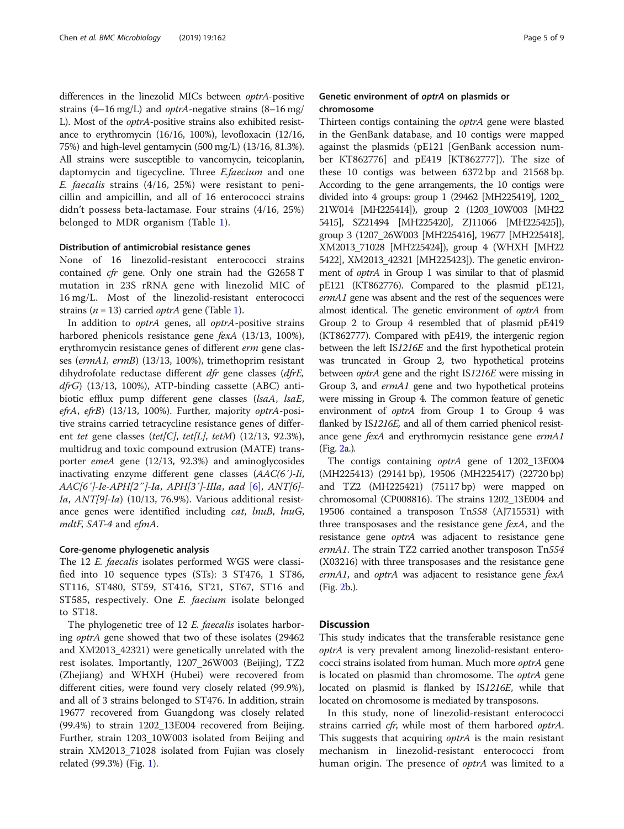differences in the linezolid MICs between optrA-positive strains (4–16 mg/L) and optrA-negative strains (8–16 mg/ L). Most of the optrA-positive strains also exhibited resistance to erythromycin (16/16, 100%), levofloxacin (12/16, 75%) and high-level gentamycin (500 mg/L) (13/16, 81.3%). All strains were susceptible to vancomycin, teicoplanin, daptomycin and tigecycline. Three *E.faecium* and one E. faecalis strains (4/16, 25%) were resistant to penicillin and ampicillin, and all of 16 enterococci strains didn't possess beta-lactamase. Four strains (4/16, 25%) belonged to MDR organism (Table [1](#page-2-0)).

#### Distribution of antimicrobial resistance genes

None of 16 linezolid-resistant enterococci strains contained cfr gene. Only one strain had the G2658 T mutation in 23S rRNA gene with linezolid MIC of 16 mg/L. Most of the linezolid-resistant enterococci strains ( $n = 13$ ) carried *optrA* gene (Table [1\)](#page-2-0).

In addition to *optrA* genes, all *optrA*-positive strains harbored phenicols resistance gene fexA (13/13, 100%), erythromycin resistance genes of different erm gene classes (ermA1, ermB) (13/13, 100%), trimethoprim resistant dihydrofolate reductase different dfr gene classes (dfrE,  $dfrG$ ) (13/13, 100%), ATP-binding cassette (ABC) antibiotic efflux pump different gene classes (lsaA, lsaE, efrA, efrB) (13/13, 100%). Further, majority optrA-positive strains carried tetracycline resistance genes of different tet gene classes (tet[C], tet[L], tetM)  $(12/13, 92.3\%)$ , multidrug and toxic compound extrusion (MATE) transporter emeA gene (12/13, 92.3%) and aminoglycosides inactivating enzyme different gene classes (AAC(6′)-Ii, AAC[6′]-Ie-APH[2″]-Ia, APH[3′]-IIIa, aad [\[6](#page-7-0)], ANT[6]- Ia, ANT[9]-Ia) (10/13, 76.9%). Various additional resistance genes were identified including cat, lnuB, lnuG, mdtF, SAT-4 and efmA.

#### Core-genome phylogenetic analysis

The 12 E. faecalis isolates performed WGS were classified into 10 sequence types (STs): 3 ST476, 1 ST86, ST116, ST480, ST59, ST416, ST21, ST67, ST16 and ST585, respectively. One E. faecium isolate belonged to ST18.

The phylogenetic tree of 12 E. faecalis isolates harboring optrA gene showed that two of these isolates (29462 and XM2013\_42321) were genetically unrelated with the rest isolates. Importantly, 1207\_26W003 (Beijing), TZ2 (Zhejiang) and WHXH (Hubei) were recovered from different cities, were found very closely related (99.9%), and all of 3 strains belonged to ST476. In addition, strain 19677 recovered from Guangdong was closely related (99.4%) to strain 1202\_13E004 recovered from Beijing. Further, strain 1203\_10W003 isolated from Beijing and strain XM2013\_71028 isolated from Fujian was closely related (99.3%) (Fig. [1\)](#page-5-0).

#### Genetic environment of optrA on plasmids or chromosome

Thirteen contigs containing the *optrA* gene were blasted in the GenBank database, and 10 contigs were mapped against the plasmids (pE121 [GenBank accession number KT862776] and pE419 [KT862777]). The size of these 10 contigs was between 6372 bp and 21568 bp. According to the gene arrangements, the 10 contigs were divided into 4 groups: group 1 (29462 [MH225419], 1202\_ 21W014 [MH225414]), group 2 (1203\_10W003 [MH22 5415], SZ21494 [MH225420], ZJ11066 [MH225425]), group 3 (1207\_26W003 [MH225416], 19677 [MH225418], XM2013\_71028 [MH225424]), group 4 (WHXH [MH22 5422], XM2013\_42321 [MH225423]). The genetic environment of optrA in Group 1 was similar to that of plasmid pE121 (KT862776). Compared to the plasmid pE121, ermA1 gene was absent and the rest of the sequences were almost identical. The genetic environment of optrA from Group 2 to Group 4 resembled that of plasmid pE419 (KT862777). Compared with pE419, the intergenic region between the left IS1216E and the first hypothetical protein was truncated in Group 2, two hypothetical proteins between optrA gene and the right IS1216E were missing in Group 3, and ermA1 gene and two hypothetical proteins were missing in Group 4. The common feature of genetic environment of optrA from Group 1 to Group 4 was flanked by IS1216E, and all of them carried phenicol resistance gene fexA and erythromycin resistance gene ermA1 (Fig. [2a](#page-7-0).).

The contigs containing optrA gene of 1202\_13E004 (MH225413) (29141 bp), 19506 (MH225417) (22720 bp) and TZ2 (MH225421) (75117 bp) were mapped on chromosomal (CP008816). The strains 1202\_13E004 and 19506 contained a transposon Tn558 (AJ715531) with three transposases and the resistance gene fexA, and the resistance gene optrA was adjacent to resistance gene ermA1. The strain TZ2 carried another transposon Tn554 (X03216) with three transposases and the resistance gene ermA1, and optrA was adjacent to resistance gene fexA (Fig. [2](#page-7-0)b.).

#### **Discussion**

This study indicates that the transferable resistance gene optrA is very prevalent among linezolid-resistant enterococci strains isolated from human. Much more optrA gene is located on plasmid than chromosome. The *optrA* gene located on plasmid is flanked by IS1216E, while that located on chromosome is mediated by transposons.

In this study, none of linezolid-resistant enterococci strains carried *cfr*, while most of them harbored *optrA*. This suggests that acquiring *optrA* is the main resistant mechanism in linezolid-resistant enterococci from human origin. The presence of *optrA* was limited to a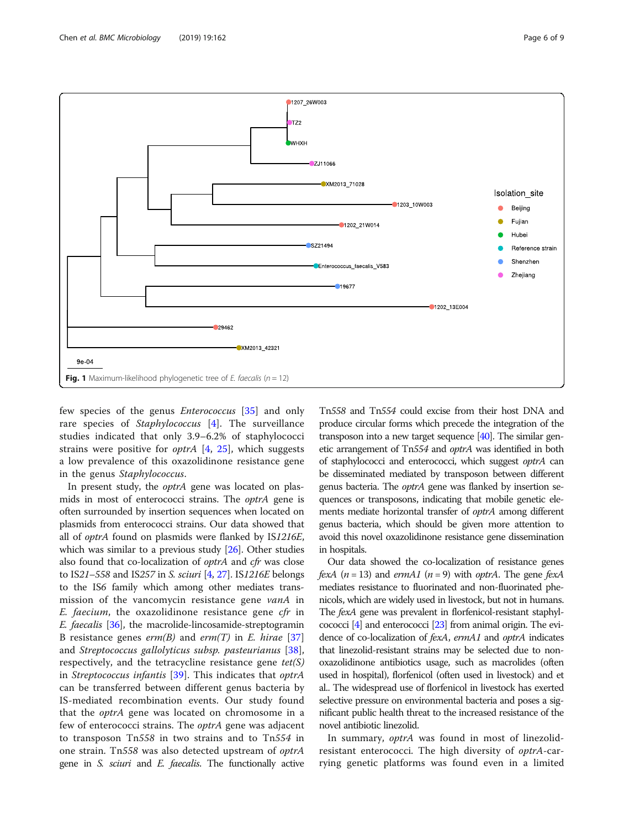<span id="page-5-0"></span>

few species of the genus Enterococcus [[35\]](#page-8-0) and only rare species of Staphylococcus [[4\]](#page-7-0). The surveillance studies indicated that only 3.9–6.2% of staphylococci strains were positive for *optrA*  $[4, 25]$  $[4, 25]$  $[4, 25]$  $[4, 25]$  $[4, 25]$ , which suggests a low prevalence of this oxazolidinone resistance gene in the genus Staphylococcus.

In present study, the optrA gene was located on plasmids in most of enterococci strains. The optrA gene is often surrounded by insertion sequences when located on plasmids from enterococci strains. Our data showed that all of optrA found on plasmids were flanked by IS1216E, which was similar to a previous study [\[26](#page-8-0)]. Other studies also found that co-localization of optrA and cfr was close to IS21–558 and IS257 in S. sciuri [[4](#page-7-0), [27\]](#page-8-0). IS1216E belongs to the IS6 family which among other mediates transmission of the vancomycin resistance gene vanA in  $E.$  faecium, the oxazolidinone resistance gene cfr in E. faecalis [[36](#page-8-0)], the macrolide-lincosamide-streptogramin B resistance genes  $erm(B)$  and  $erm(T)$  in E. hirae [\[37](#page-8-0)] and Streptococcus gallolyticus subsp. pasteurianus [\[38](#page-8-0)], respectively, and the tetracycline resistance gene  $tet(S)$ in Streptococcus infantis [[39\]](#page-8-0). This indicates that optrA can be transferred between different genus bacteria by IS-mediated recombination events. Our study found that the optrA gene was located on chromosome in a few of enterococci strains. The *optrA* gene was adjacent to transposon Tn558 in two strains and to Tn554 in one strain. Tn558 was also detected upstream of optrA gene in S. sciuri and E. faecalis. The functionally active Tn558 and Tn554 could excise from their host DNA and produce circular forms which precede the integration of the transposon into a new target sequence [\[40](#page-8-0)]. The similar genetic arrangement of Tn554 and optrA was identified in both of staphylococci and enterococci, which suggest optrA can be disseminated mediated by transposon between different genus bacteria. The optrA gene was flanked by insertion sequences or transposons, indicating that mobile genetic elements mediate horizontal transfer of optrA among different genus bacteria, which should be given more attention to avoid this novel oxazolidinone resistance gene dissemination in hospitals.

Our data showed the co-localization of resistance genes fexA  $(n = 13)$  and ermA1  $(n = 9)$  with optrA. The gene fexA mediates resistance to fluorinated and non-fluorinated phenicols, which are widely used in livestock, but not in humans. The fexA gene was prevalent in florfenicol-resistant staphylcococci [[4](#page-7-0)] and enterococci [\[23](#page-8-0)] from animal origin. The evidence of co-localization of fexA, ermA1 and optrA indicates that linezolid-resistant strains may be selected due to nonoxazolidinone antibiotics usage, such as macrolides (often used in hospital), florfenicol (often used in livestock) and et al.. The widespread use of florfenicol in livestock has exerted selective pressure on environmental bacteria and poses a significant public health threat to the increased resistance of the novel antibiotic linezolid.

In summary, optrA was found in most of linezolidresistant enterococci. The high diversity of optrA-carrying genetic platforms was found even in a limited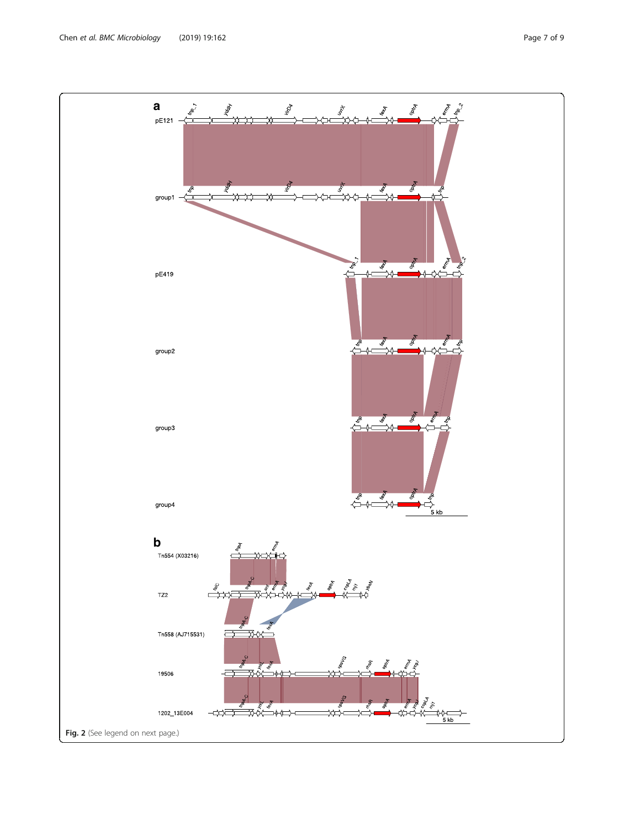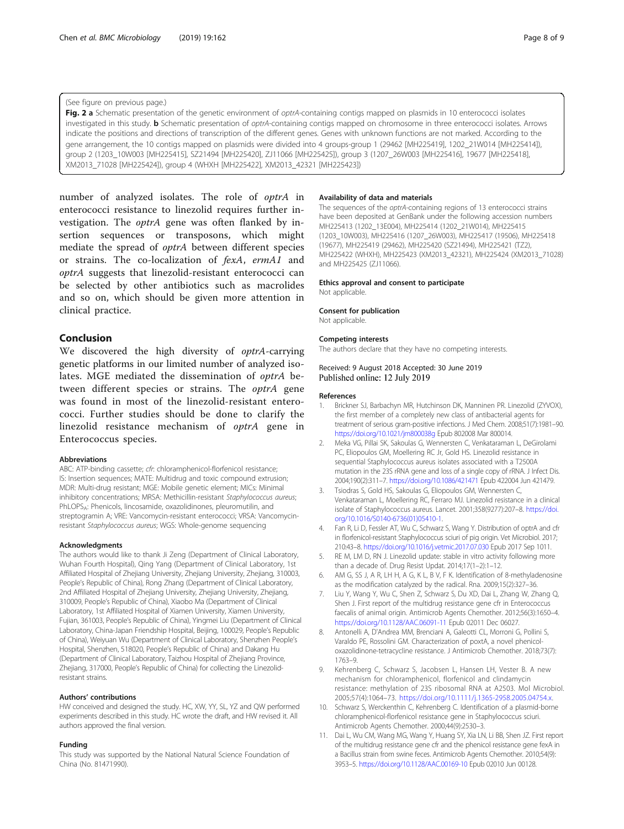#### <span id="page-7-0"></span>(See figure on previous page.)

Fig. 2 a Schematic presentation of the genetic environment of optrA-containing contigs mapped on plasmids in 10 enterococci isolates investigated in this study. **b** Schematic presentation of optrA-containing contigs mapped on chromosome in three enterococci isolates. Arrows indicate the positions and directions of transcription of the different genes. Genes with unknown functions are not marked. According to the gene arrangement, the 10 contigs mapped on plasmids were divided into 4 groups-group 1 (29462 [MH225419], 1202\_21W014 [MH225414]), group 2 (1203\_10W003 [MH225415], SZ21494 [MH225420], ZJ11066 [MH225425]), group 3 (1207\_26W003 [MH225416], 19677 [MH225418], XM2013\_71028 [MH225424]), group 4 (WHXH [MH225422], XM2013\_42321 [MH225423])

number of analyzed isolates. The role of optrA in enterococci resistance to linezolid requires further investigation. The optrA gene was often flanked by insertion sequences or transposons, which might mediate the spread of optrA between different species or strains. The co-localization of fexA, ermA1 and optrA suggests that linezolid-resistant enterococci can be selected by other antibiotics such as macrolides and so on, which should be given more attention in clinical practice.

#### Conclusion

We discovered the high diversity of *optrA*-carrying genetic platforms in our limited number of analyzed isolates. MGE mediated the dissemination of optrA between different species or strains. The *optrA* gene was found in most of the linezolid-resistant enterococci. Further studies should be done to clarify the linezolid resistance mechanism of optrA gene in Enterococcus species.

#### Abbreviations

ABC: ATP-binding cassette; cfr: chloramphenicol-florfenicol resistance; IS: Insertion sequences; MATE: Multidrug and toxic compound extrusion; MDR: Multi-drug resistant; MGE: Mobile genetic element; MICs: Minimal inhibitory concentrations; MRSA: Methicillin-resistant Staphylococcus aureus; PhLOPS<sub>A</sub>: Phenicols, lincosamide, oxazolidinones, pleuromutilin, and streptogramin A; VRE: Vancomycin-resistant enterococci; VRSA: Vancomycinresistant Staphylococcus aureus; WGS: Whole-genome sequencing

#### Acknowledgments

The authors would like to thank Ji Zeng (Department of Clinical Laboratory, Wuhan Fourth Hospital), Qing Yang (Department of Clinical Laboratory, 1st Affiliated Hospital of Zhejiang University, Zhejiang University, Zhejiang, 310003, People's Republic of China), Rong Zhang (Department of Clinical Laboratory, 2nd Affiliated Hospital of Zhejiang University, Zhejiang University, Zhejiang, 310009, People's Republic of China), Xiaobo Ma (Department of Clinical Laboratory, 1st Affiliated Hospital of Xiamen University, Xiamen University, Fujian, 361003, People's Republic of China), Yingmei Liu (Department of Clinical Laboratory, China-Japan Friendship Hospital, Beijing, 100029, People's Republic of China), Weiyuan Wu (Department of Clinical Laboratory, Shenzhen People's Hospital, Shenzhen, 518020, People's Republic of China) and Dakang Hu (Department of Clinical Laboratory, Taizhou Hospital of Zhejiang Province, Zhejiang, 317000, People's Republic of China) for collecting the Linezolidresistant strains.

#### Authors' contributions

HW conceived and designed the study. HC, XW, YY, SL, YZ and QW performed experiments described in this study. HC wrote the draft, and HW revised it. All authors approved the final version.

#### Funding

This study was supported by the National Natural Science Foundation of China (No. 81471990).

#### Availability of data and materials

The sequences of the optrA-containing regions of 13 enterococci strains have been deposited at GenBank under the following accession numbers MH225413 (1202\_13E004), MH225414 (1202\_21W014), MH225415 (1203\_10W003), MH225416 (1207\_26W003), MH225417 (19506), MH225418 (19677), MH225419 (29462), MH225420 (SZ21494), MH225421 (TZ2), MH225422 (WHXH), MH225423 (XM2013\_42321), MH225424 (XM2013\_71028) and MH225425 (ZJ11066).

#### Ethics approval and consent to participate

Not applicable.

#### Consent for publication

Not applicable.

#### Competing interests

The authors declare that they have no competing interests.

#### Received: 9 August 2018 Accepted: 30 June 2019 Published online: 12 July 2019

#### References

- 1. Brickner SJ, Barbachyn MR, Hutchinson DK, Manninen PR. Linezolid (ZYVOX), the first member of a completely new class of antibacterial agents for treatment of serious gram-positive infections. J Med Chem. 2008;51(7):1981–90. <https://doi.org/10.1021/jm800038g> Epub 802008 Mar 800014.
- 2. Meka VG, Pillai SK, Sakoulas G, Wennersten C, Venkataraman L, DeGirolami PC, Eliopoulos GM, Moellering RC Jr, Gold HS. Linezolid resistance in sequential Staphylococcus aureus isolates associated with a T2500A mutation in the 23S rRNA gene and loss of a single copy of rRNA. J Infect Dis. 2004;190(2):311–7. <https://doi.org/10.1086/421471> Epub 422004 Jun 421479.
- 3. Tsiodras S, Gold HS, Sakoulas G, Eliopoulos GM, Wennersten C, Venkataraman L, Moellering RC, Ferraro MJ. Linezolid resistance in a clinical isolate of Staphylococcus aureus. Lancet. 2001;358(9277):207–8. [https://doi.](https://doi.org/10.1016/S0140-6736(01)05410-1) [org/10.1016/S0140-6736\(01\)05410-1.](https://doi.org/10.1016/S0140-6736(01)05410-1)
- 4. Fan R, Li D, Fessler AT, Wu C, Schwarz S, Wang Y. Distribution of optrA and cfr in florfenicol-resistant Staphylococcus sciuri of pig origin. Vet Microbiol. 2017; 210:43–8. <https://doi.org/10.1016/j.vetmic.2017.07.030> Epub 2017 Sep 1011.
- 5. RE M, LM D, RN J. Linezolid update: stable in vitro activity following more than a decade of. Drug Resist Updat. 2014;17(1–2):1–12.
- 6. AM G, SS J, A R, LH H, A G, K L, B V, F K. Identification of 8-methyladenosine as the modification catalyzed by the radical. Rna. 2009;15(2):327–36.
- 7. Liu Y, Wang Y, Wu C, Shen Z, Schwarz S, Du XD, Dai L, Zhang W, Zhang Q, Shen J. First report of the multidrug resistance gene cfr in Enterococcus faecalis of animal origin. Antimicrob Agents Chemother. 2012;56(3):1650–4. <https://doi.org/10.1128/AAC.06091-11> Epub 02011 Dec 06027.
- 8. Antonelli A, D'Andrea MM, Brenciani A, Galeotti CL, Morroni G, Pollini S, Varaldo PE, Rossolini GM. Characterization of poxtA, a novel phenicoloxazolidinone-tetracycline resistance. J Antimicrob Chemother. 2018;73(7): 1763–9.
- 9. Kehrenberg C, Schwarz S, Jacobsen L, Hansen LH, Vester B. A new mechanism for chloramphenicol, florfenicol and clindamycin resistance: methylation of 23S ribosomal RNA at A2503. Mol Microbiol. 2005;57(4):1064–73. <https://doi.org/10.1111/j.1365-2958.2005.04754.x>.
- 10. Schwarz S, Werckenthin C, Kehrenberg C. Identification of a plasmid-borne chloramphenicol-florfenicol resistance gene in Staphylococcus sciuri. Antimicrob Agents Chemother. 2000;44(9):2530–3.
- 11. Dai L, Wu CM, Wang MG, Wang Y, Huang SY, Xia LN, Li BB, Shen JZ. First report of the multidrug resistance gene cfr and the phenicol resistance gene fexA in a Bacillus strain from swine feces. Antimicrob Agents Chemother. 2010;54(9): 3953–5. <https://doi.org/10.1128/AAC.00169-10> Epub 02010 Jun 00128.